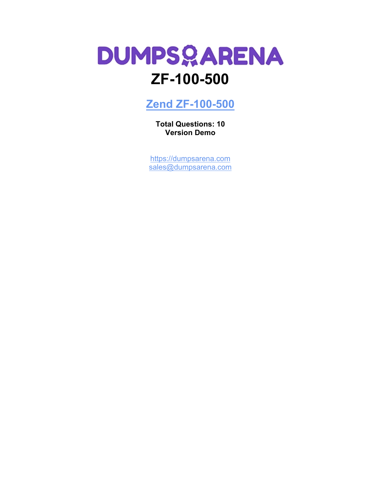# **DUMPSQARENA ZF-100-500**

**[Zend ZF-100-500](https://dumpsarena.com/exam/zf-100-500/)**

**Total Questions: 10 Version Demo**

[https://dumpsarena.com](https://dumpsarena.com/) [sales@dumpsarena.com](mailto:sales@dumpsarena.com)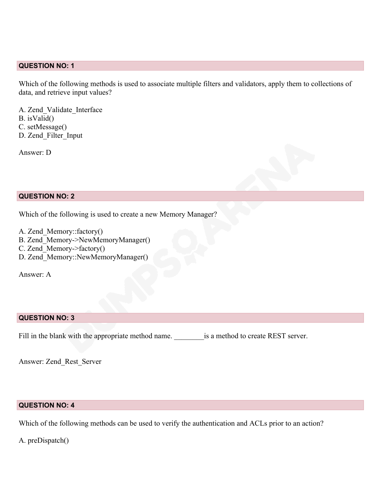## **QUESTION NO: 1**

Which of the following methods is used to associate multiple filters and validators, apply them to collections of data, and retrieve input values?

A. Zend\_Validate\_Interface B. isValid() C. setMessage() D. Zend\_Filter\_Input

Answer: D

## **QUESTION NO: 2**

Which of the following is used to create a new Memory Manager?

- A. Zend\_Memory::factory()
- B. Zend\_Memory->NewMemoryManager()
- C. Zend Memory->factory()
- D. Zend\_Memory::NewMemoryManager()

Answer: A

## **QUESTION NO: 3**

Fill in the blank with the appropriate method name. <br>  $\qquad$  is a method to create REST server.

Answer: Zend\_Rest\_Server

# **QUESTION NO: 4**

Which of the following methods can be used to verify the authentication and ACLs prior to an action?

A. preDispatch()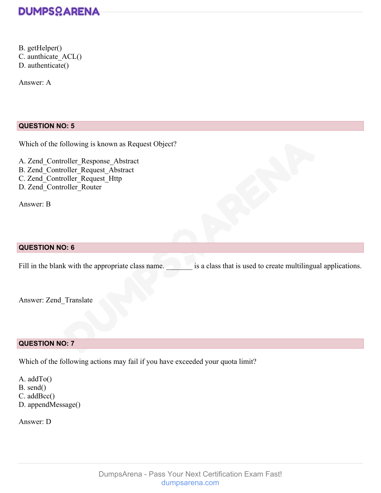

B. getHelper() C. aunthicate\_ACL() D. authenticate()

Answer: A

## **QUESTION NO: 5**

Which of the following is known as Request Object?

A. Zend\_Controller\_Response\_Abstract B. Zend\_Controller\_Request\_Abstract C. Zend\_Controller\_Request\_Http D. Zend\_Controller\_Router

Answer: B

## **QUESTION NO: 6**

Fill in the blank with the appropriate class name.  $\Box$  is a class that is used to create multilingual applications.

Answer: Zend\_Translate

## **QUESTION NO: 7**

Which of the following actions may fail if you have exceeded your quota limit?

A. addTo() B. send() C. addBcc() D. appendMessage()

Answer: D